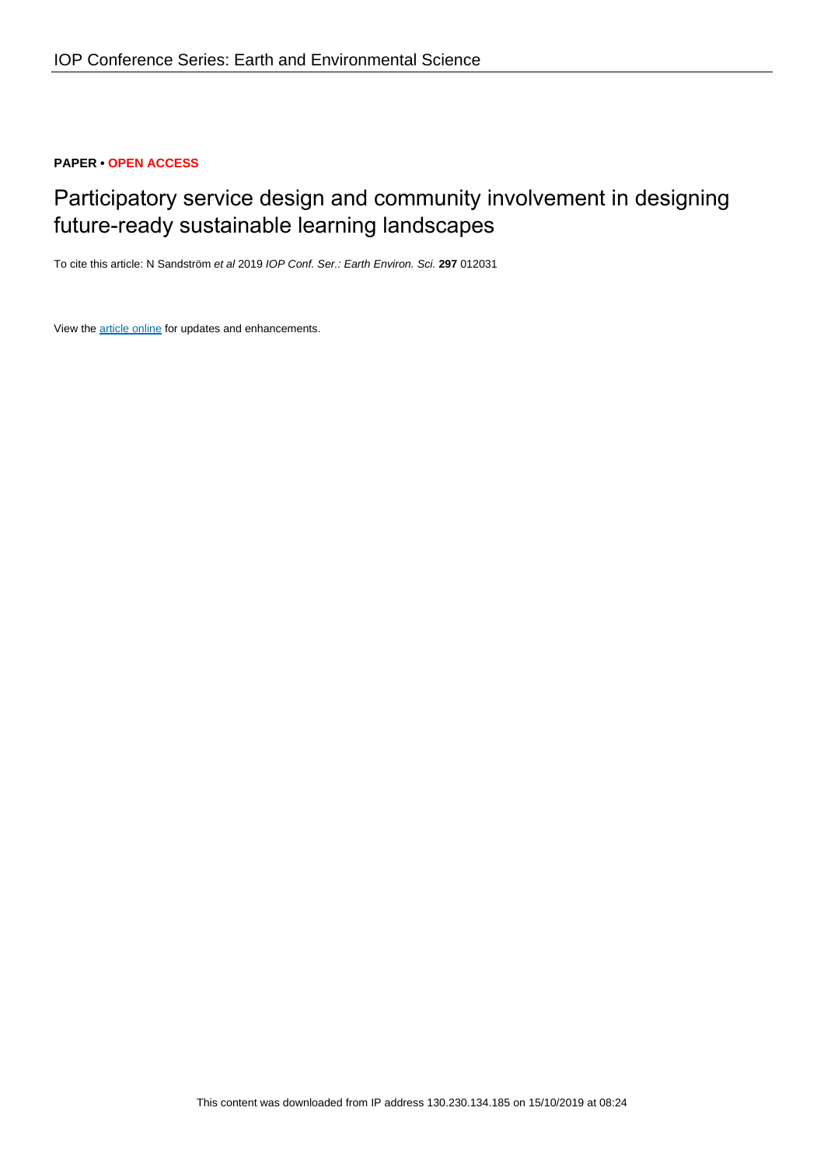# **PAPER • OPEN ACCESS**

# Participatory service design and community involvement in designing future-ready sustainable learning landscapes

To cite this article: N Sandström et al 2019 IOP Conf. Ser.: Earth Environ. Sci. **297** 012031

View the [article online](https://doi.org/10.1088/1755-1315/297/1/012031) for updates and enhancements.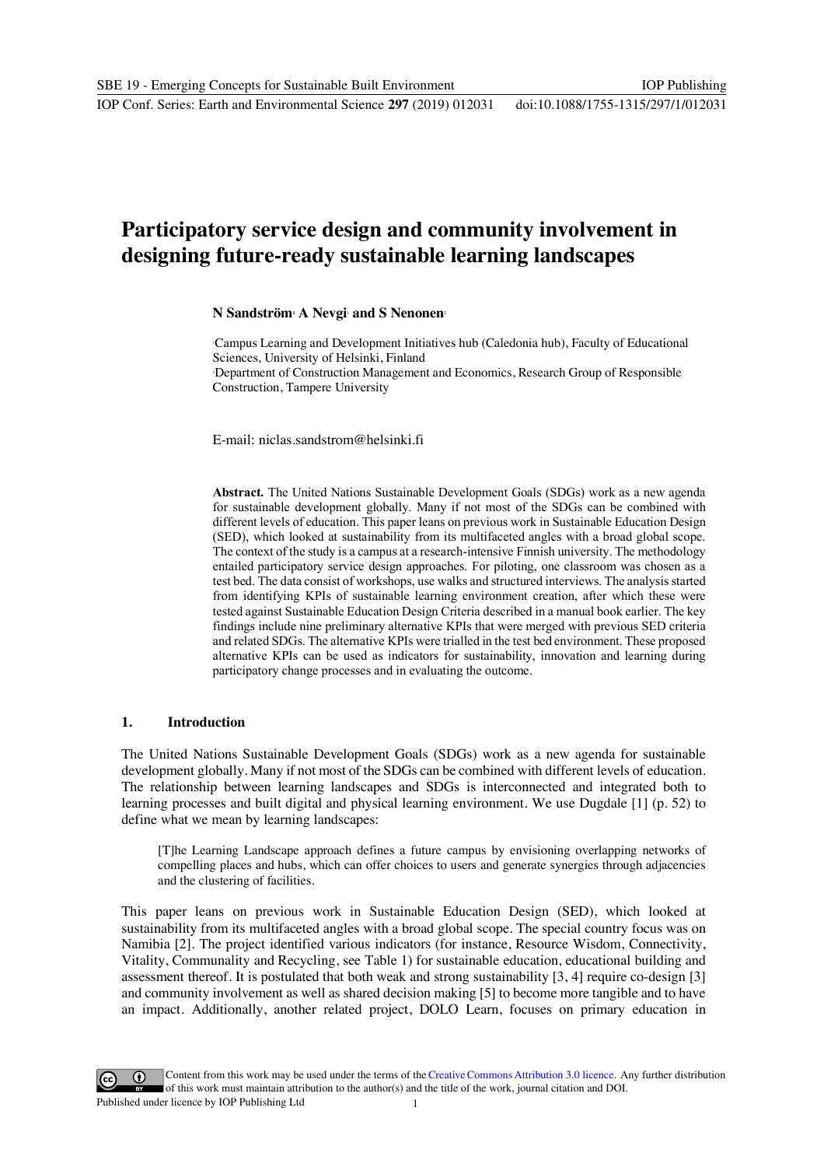# **Participatory service design and community involvement in designing future-ready sustainable learning landscapes**

#### **N Sandström1 A Nevgi**<sup>1</sup> **and S Nenonen**<sup>2</sup>

1 Campus Learning and Development Initiatives hub (Caledonia hub), Faculty of Educational Sciences, University of Helsinki, Finland

2 Department of Construction Management and Economics, Research Group of Responsible Construction, Tampere University

E-mail: niclas.sandstrom@helsinki.fi

**Abstract.** The United Nations Sustainable Development Goals (SDGs) work as a new agenda for sustainable development globally. Many if not most of the SDGs can be combined with different levels of education. This paper leans on previous work in Sustainable Education Design (SED), which looked at sustainability from its multifaceted angles with a broad global scope. The context of the study is a campus at a research-intensive Finnish university. The methodology entailed participatory service design approaches. For piloting, one classroom was chosen as a test bed. The data consist of workshops, use walks and structured interviews. The analysis started from identifying KPIs of sustainable learning environment creation, after which these were tested against Sustainable Education Design Criteria described in a manual book earlier. The key findings include nine preliminary alternative KPIs that were merged with previous SED criteria and related SDGs. The alternative KPIs were trialled in the test bed environment. These proposed alternative KPIs can be used as indicators for sustainability, innovation and learning during participatory change processes and in evaluating the outcome.

#### **1. Introduction**

The United Nations Sustainable Development Goals (SDGs) work as a new agenda for sustainable development globally. Many if not most of the SDGs can be combined with different levels of education. The relationship between learning landscapes and SDGs is interconnected and integrated both to learning processes and built digital and physical learning environment. We use Dugdale [1] (p. 52) to define what we mean by learning landscapes:

[T]he Learning Landscape approach defines a future campus by envisioning overlapping networks of compelling places and hubs, which can offer choices to users and generate synergies through adjacencies and the clustering of facilities.

This paper leans on previous work in Sustainable Education Design (SED), which looked at sustainability from its multifaceted angles with a broad global scope. The special country focus was on Namibia [2]. The project identified various indicators (for instance, Resource Wisdom, Connectivity, Vitality, Communality and Recycling, see Table 1) for sustainable education, educational building and assessment thereof. It is postulated that both weak and strong sustainability [3, 4] require co-design [3] and community involvement as well as shared decision making [5] to become more tangible and to have an impact. Additionally, another related project, DOLO Learn, focuses on primary education in

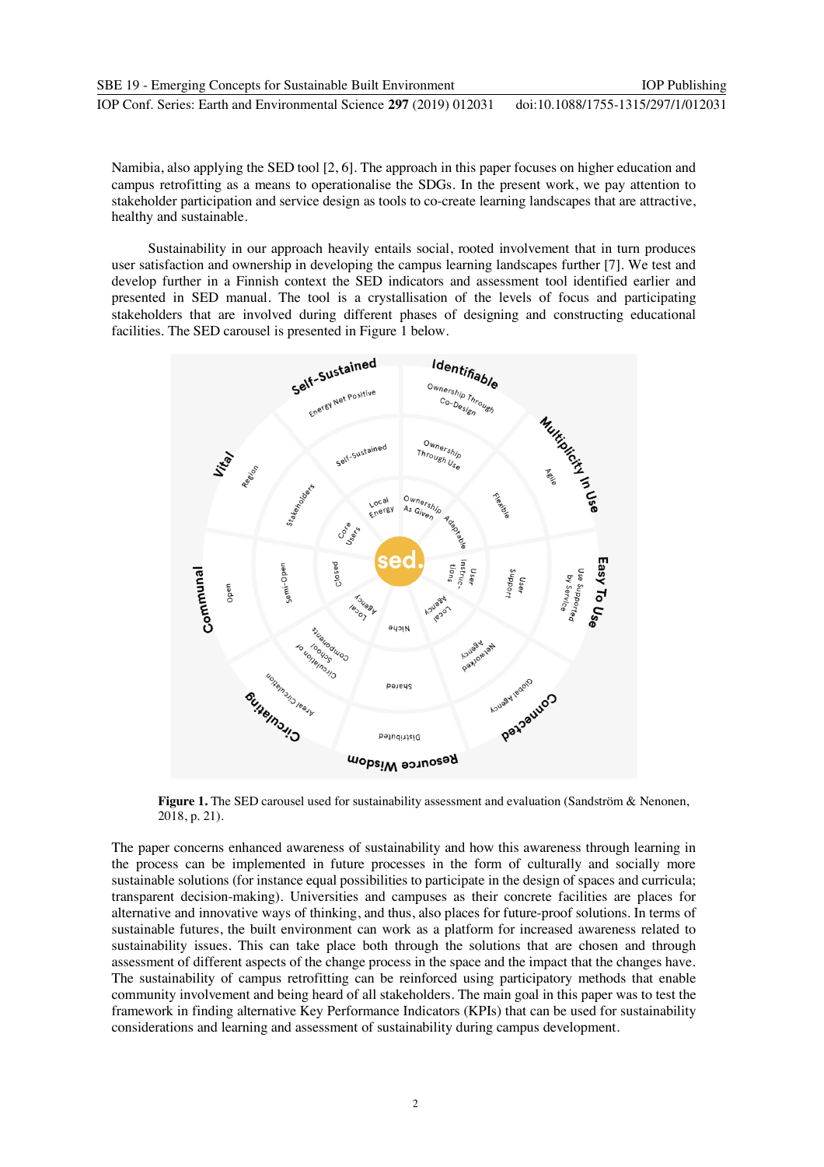Namibia, also applying the SED tool [2, 6]. The approach in this paper focuses on higher education and campus retrofitting as a means to operationalise the SDGs. In the present work, we pay attention to stakeholder participation and service design as tools to co-create learning landscapes that are attractive, healthy and sustainable.

Sustainability in our approach heavily entails social, rooted involvement that in turn produces user satisfaction and ownership in developing the campus learning landscapes further [7]. We test and develop further in a Finnish context the SED indicators and assessment tool identified earlier and presented in SED manual. The tool is a crystallisation of the levels of focus and participating stakeholders that are involved during different phases of designing and constructing educational facilities. The SED carousel is presented in Figure 1 below.



**Figure 1.** The SED carousel used for sustainability assessment and evaluation (Sandström & Nenonen, 2018, p. 21).

The paper concerns enhanced awareness of sustainability and how this awareness through learning in the process can be implemented in future processes in the form of culturally and socially more sustainable solutions (for instance equal possibilities to participate in the design of spaces and curricula; transparent decision-making). Universities and campuses as their concrete facilities are places for alternative and innovative ways of thinking, and thus, also places for future-proof solutions. In terms of sustainable futures, the built environment can work as a platform for increased awareness related to sustainability issues. This can take place both through the solutions that are chosen and through assessment of different aspects of the change process in the space and the impact that the changes have. The sustainability of campus retrofitting can be reinforced using participatory methods that enable community involvement and being heard of all stakeholders. The main goal in this paper was to test the framework in finding alternative Key Performance Indicators (KPIs) that can be used for sustainability considerations and learning and assessment of sustainability during campus development.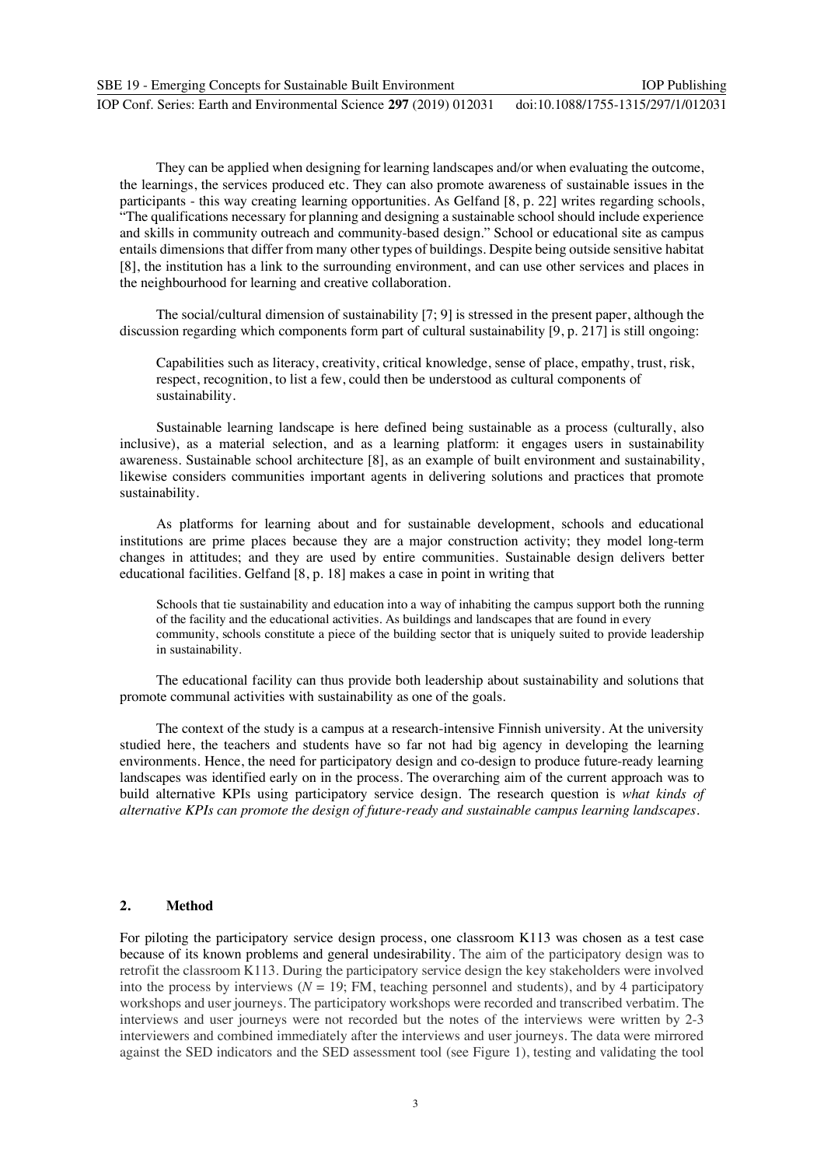doi:10.1088/1755-1315/297/1/012031

They can be applied when designing for learning landscapes and/or when evaluating the outcome, the learnings, the services produced etc. They can also promote awareness of sustainable issues in the participants - this way creating learning opportunities. As Gelfand [8, p. 22] writes regarding schools, "The qualifications necessary for planning and designing a sustainable school should include experience and skills in community outreach and community-based design." School or educational site as campus entails dimensions that differ from many other types of buildings. Despite being outside sensitive habitat [8], the institution has a link to the surrounding environment, and can use other services and places in the neighbourhood for learning and creative collaboration.

The social/cultural dimension of sustainability [7; 9] is stressed in the present paper, although the discussion regarding which components form part of cultural sustainability [9, p. 217] is still ongoing:

Capabilities such as literacy, creativity, critical knowledge, sense of place, empathy, trust, risk, respect, recognition, to list a few, could then be understood as cultural components of sustainability.

Sustainable learning landscape is here defined being sustainable as a process (culturally, also inclusive), as a material selection, and as a learning platform: it engages users in sustainability awareness. Sustainable school architecture [8], as an example of built environment and sustainability, likewise considers communities important agents in delivering solutions and practices that promote sustainability.

As platforms for learning about and for sustainable development, schools and educational institutions are prime places because they are a major construction activity; they model long-term changes in attitudes; and they are used by entire communities. Sustainable design delivers better educational facilities. Gelfand [8, p. 18] makes a case in point in writing that

Schools that tie sustainability and education into a way of inhabiting the campus support both the running of the facility and the educational activities. As buildings and landscapes that are found in every community, schools constitute a piece of the building sector that is uniquely suited to provide leadership in sustainability.

The educational facility can thus provide both leadership about sustainability and solutions that promote communal activities with sustainability as one of the goals.

The context of the study is a campus at a research-intensive Finnish university. At the university studied here, the teachers and students have so far not had big agency in developing the learning environments. Hence, the need for participatory design and co-design to produce future-ready learning landscapes was identified early on in the process. The overarching aim of the current approach was to build alternative KPIs using participatory service design. The research question is *what kinds of alternative KPIs can promote the design of future-ready and sustainable campus learning landscapes*.

#### **2. Method**

For piloting the participatory service design process, one classroom K113 was chosen as a test case because of its known problems and general undesirability. The aim of the participatory design was to retrofit the classroom K113. During the participatory service design the key stakeholders were involved into the process by interviews ( $N = 19$ ; FM, teaching personnel and students), and by 4 participatory workshops and user journeys. The participatory workshops were recorded and transcribed verbatim. The interviews and user journeys were not recorded but the notes of the interviews were written by 2-3 interviewers and combined immediately after the interviews and user journeys. The data were mirrored against the SED indicators and the SED assessment tool (see Figure 1), testing and validating the tool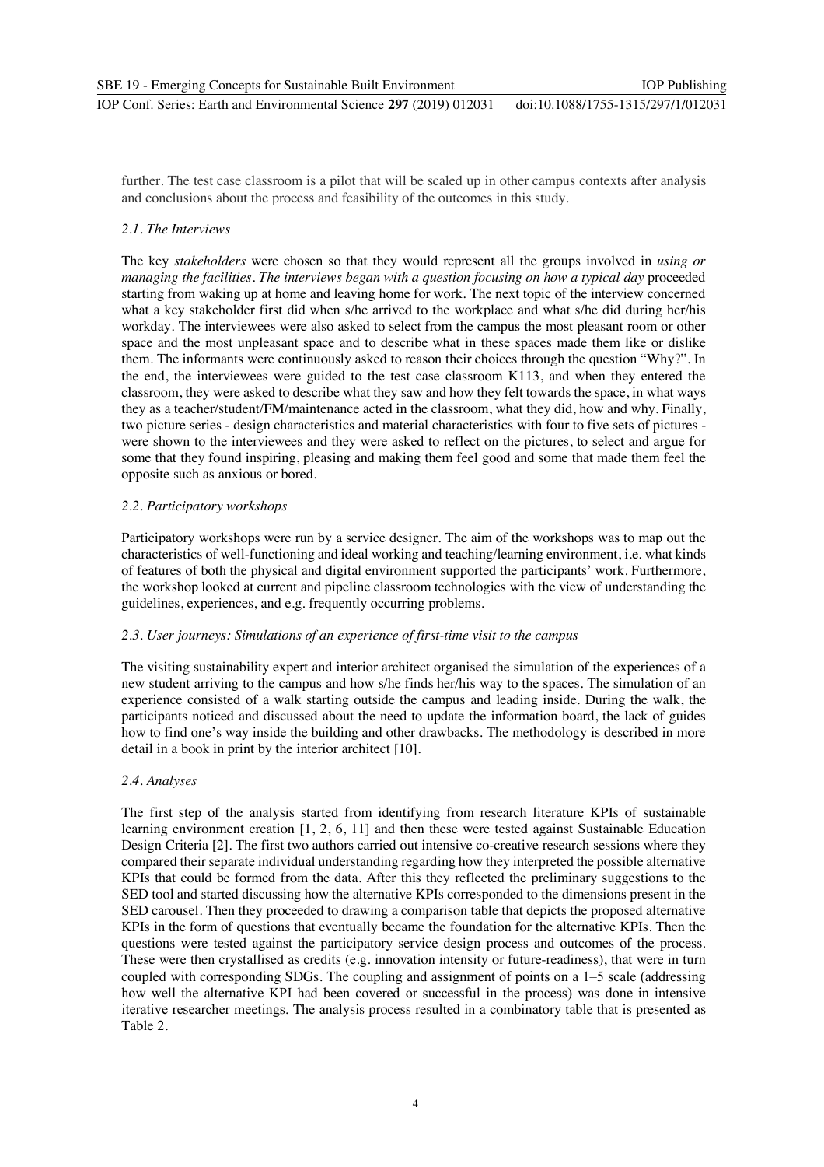further. The test case classroom is a pilot that will be scaled up in other campus contexts after analysis and conclusions about the process and feasibility of the outcomes in this study.

### *2.1. The Interviews*

The key *stakeholders* were chosen so that they would represent all the groups involved in *using or managing the facilities. The interviews began with a question focusing on how a typical day* proceeded starting from waking up at home and leaving home for work. The next topic of the interview concerned what a key stakeholder first did when s/he arrived to the workplace and what s/he did during her/his workday. The interviewees were also asked to select from the campus the most pleasant room or other space and the most unpleasant space and to describe what in these spaces made them like or dislike them. The informants were continuously asked to reason their choices through the question "Why?". In the end, the interviewees were guided to the test case classroom K113, and when they entered the classroom, they were asked to describe what they saw and how they felt towards the space, in what ways they as a teacher/student/FM/maintenance acted in the classroom, what they did, how and why. Finally, two picture series - design characteristics and material characteristics with four to five sets of pictures were shown to the interviewees and they were asked to reflect on the pictures, to select and argue for some that they found inspiring, pleasing and making them feel good and some that made them feel the opposite such as anxious or bored.

### *2.2. Participatory workshops*

Participatory workshops were run by a service designer. The aim of the workshops was to map out the characteristics of well-functioning and ideal working and teaching/learning environment, i.e. what kinds of features of both the physical and digital environment supported the participants' work. Furthermore, the workshop looked at current and pipeline classroom technologies with the view of understanding the guidelines, experiences, and e.g. frequently occurring problems.

#### *2.3. User journeys: Simulations of an experience of first-time visit to the campus*

The visiting sustainability expert and interior architect organised the simulation of the experiences of a new student arriving to the campus and how s/he finds her/his way to the spaces. The simulation of an experience consisted of a walk starting outside the campus and leading inside. During the walk, the participants noticed and discussed about the need to update the information board, the lack of guides how to find one's way inside the building and other drawbacks. The methodology is described in more detail in a book in print by the interior architect [10].

#### *2.4. Analyses*

The first step of the analysis started from identifying from research literature KPIs of sustainable learning environment creation [1, 2, 6, 11] and then these were tested against Sustainable Education Design Criteria [2]. The first two authors carried out intensive co-creative research sessions where they compared their separate individual understanding regarding how they interpreted the possible alternative KPIs that could be formed from the data. After this they reflected the preliminary suggestions to the SED tool and started discussing how the alternative KPIs corresponded to the dimensions present in the SED carousel. Then they proceeded to drawing a comparison table that depicts the proposed alternative KPIs in the form of questions that eventually became the foundation for the alternative KPIs. Then the questions were tested against the participatory service design process and outcomes of the process. These were then crystallised as credits (e.g. innovation intensity or future-readiness), that were in turn coupled with corresponding SDGs. The coupling and assignment of points on a 1–5 scale (addressing how well the alternative KPI had been covered or successful in the process) was done in intensive iterative researcher meetings. The analysis process resulted in a combinatory table that is presented as Table 2.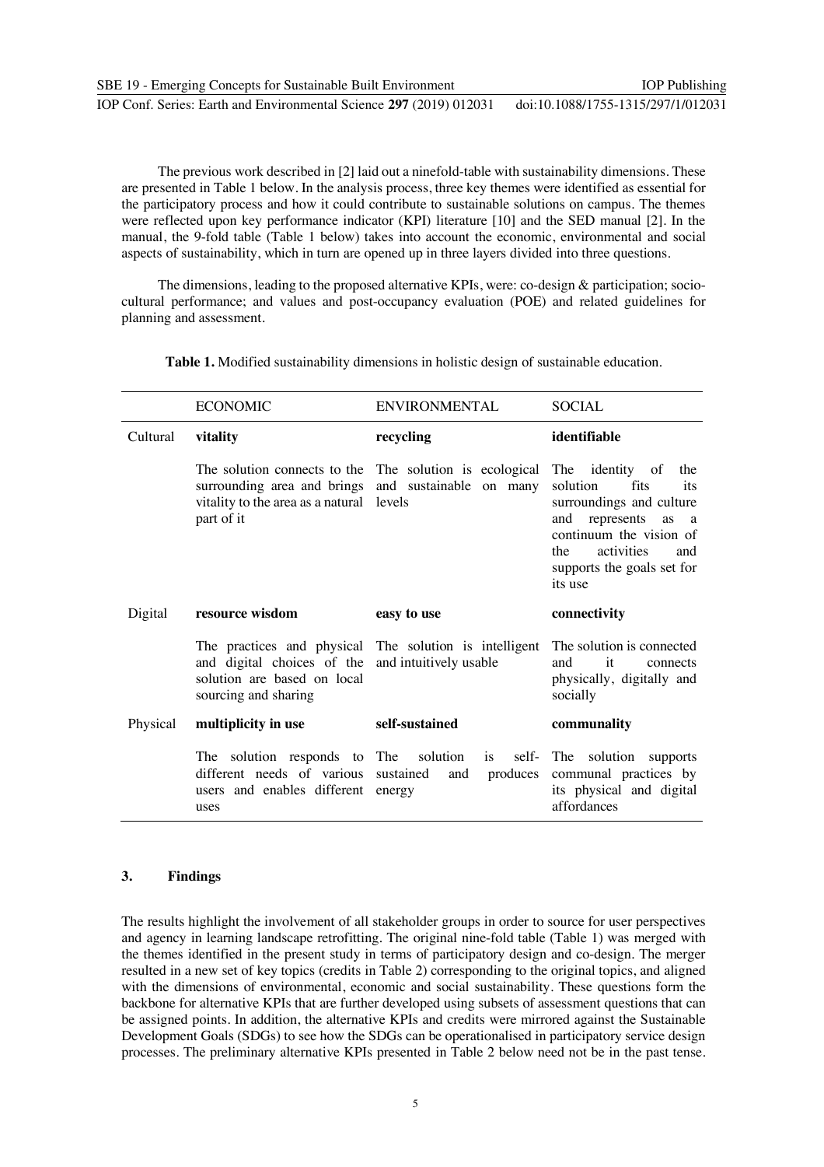The previous work described in [2] laid out a ninefold-table with sustainability dimensions. These are presented in Table 1 below. In the analysis process, three key themes were identified as essential for the participatory process and how it could contribute to sustainable solutions on campus. The themes were reflected upon key performance indicator (KPI) literature [10] and the SED manual [2]. In the manual, the 9-fold table (Table 1 below) takes into account the economic, environmental and social aspects of sustainability, which in turn are opened up in three layers divided into three questions.

The dimensions, leading to the proposed alternative KPIs, were: co-design & participation; sociocultural performance; and values and post-occupancy evaluation (POE) and related guidelines for planning and assessment.

| Table 1. Modified sustainability dimensions in holistic design of sustainable education. |  |
|------------------------------------------------------------------------------------------|--|
|------------------------------------------------------------------------------------------|--|

|          | <b>ECONOMIC</b>                                                                                                             | <b>ENVIRONMENTAL</b>                                                                                           | <b>SOCIAL</b>                                                                                                                                                                                                         |
|----------|-----------------------------------------------------------------------------------------------------------------------------|----------------------------------------------------------------------------------------------------------------|-----------------------------------------------------------------------------------------------------------------------------------------------------------------------------------------------------------------------|
| Cultural | vitality                                                                                                                    | recycling                                                                                                      | identifiable                                                                                                                                                                                                          |
|          | vitality to the area as a natural levels<br>part of it                                                                      | The solution connects to the The solution is ecological<br>surrounding area and brings and sustainable on many | The identity of<br>the<br>solution<br>fits<br>its<br>surroundings and culture<br>represents as<br>and<br><sub>a</sub><br>continuum the vision of<br>activities<br>the<br>and<br>supports the goals set for<br>its use |
| Digital  | resource wisdom                                                                                                             | easy to use                                                                                                    | connectivity                                                                                                                                                                                                          |
|          | and digital choices of the and intuitively usable<br>solution are based on local<br>sourcing and sharing                    | The practices and physical The solution is intelligent                                                         | The solution is connected<br>it<br>and<br>connects<br>physically, digitally and<br>socially                                                                                                                           |
| Physical | multiplicity in use                                                                                                         | self-sustained                                                                                                 | communality                                                                                                                                                                                                           |
|          | The solution responds to The solution<br>different needs of various sustained<br>users and enables different energy<br>uses | produces<br>and                                                                                                | is self- The solution supports<br>communal practices by<br>its physical and digital<br>affordances                                                                                                                    |

#### **3. Findings**

The results highlight the involvement of all stakeholder groups in order to source for user perspectives and agency in learning landscape retrofitting. The original nine-fold table (Table 1) was merged with the themes identified in the present study in terms of participatory design and co-design. The merger resulted in a new set of key topics (credits in Table 2) corresponding to the original topics, and aligned with the dimensions of environmental, economic and social sustainability. These questions form the backbone for alternative KPIs that are further developed using subsets of assessment questions that can be assigned points. In addition, the alternative KPIs and credits were mirrored against the Sustainable Development Goals (SDGs) to see how the SDGs can be operationalised in participatory service design processes. The preliminary alternative KPIs presented in Table 2 below need not be in the past tense.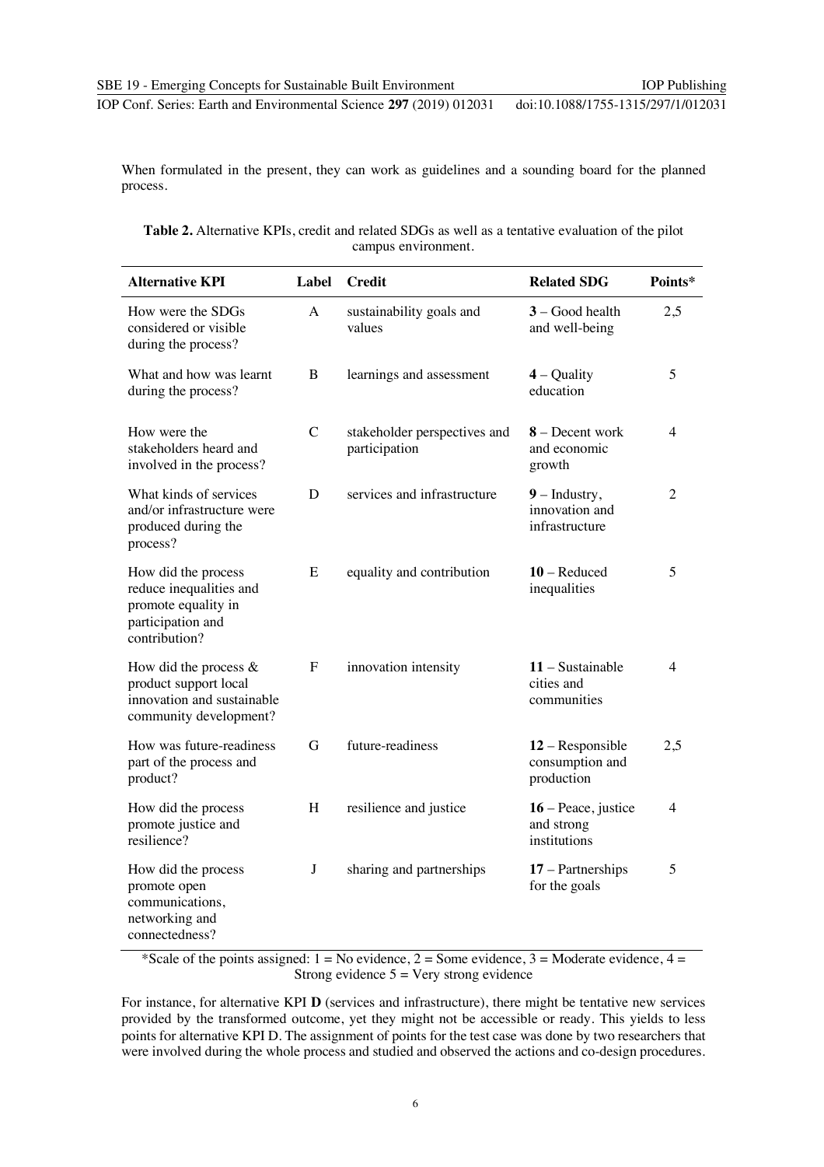When formulated in the present, they can work as guidelines and a sounding board for the planned process.

| <b>Alternative KPI</b>                                                                                      | Label         | <b>Credit</b>                                 | <b>Related SDG</b>                                  | Points* |
|-------------------------------------------------------------------------------------------------------------|---------------|-----------------------------------------------|-----------------------------------------------------|---------|
| How were the SDGs<br>considered or visible<br>during the process?                                           | $\mathbf{A}$  | sustainability goals and<br>values            | $3 - Good$ health<br>and well-being                 | 2,5     |
| What and how was learnt<br>during the process?                                                              | $\bf{B}$      | learnings and assessment                      | $4 -$ Quality<br>education                          | 5       |
| How were the<br>stakeholders heard and<br>involved in the process?                                          | $\mathcal{C}$ | stakeholder perspectives and<br>participation | 8 - Decent work<br>and economic<br>growth           | 4       |
| What kinds of services<br>and/or infrastructure were<br>produced during the<br>process?                     | D             | services and infrastructure                   | $9$ – Industry,<br>innovation and<br>infrastructure | 2       |
| How did the process<br>reduce inequalities and<br>promote equality in<br>participation and<br>contribution? | E             | equality and contribution                     | $10 -$ Reduced<br>inequalities                      | 5       |
| How did the process $\&$<br>product support local<br>innovation and sustainable<br>community development?   | $\mathbf{F}$  | innovation intensity                          | $11 -$ Sustainable<br>cities and<br>communities     | 4       |
| How was future-readiness<br>part of the process and<br>product?                                             | G             | future-readiness                              | $12 -$ Responsible<br>consumption and<br>production | 2,5     |
| How did the process<br>promote justice and<br>resilience?                                                   | H             | resilience and justice                        | $16$ – Peace, justice<br>and strong<br>institutions | 4       |
| How did the process<br>promote open<br>communications,<br>networking and<br>connectedness?                  | J             | sharing and partnerships                      | $17$ – Partnerships<br>for the goals                | 5       |

**Table 2.** Alternative KPIs, credit and related SDGs as well as a tentative evaluation of the pilot campus environment.

\*Scale of the points assigned:  $1 = No$  evidence,  $2 = Some$  evidence,  $3 = Mode$  evidence,  $4 =$ Strong evidence  $5 = \text{Very strong evidence}$ 

For instance, for alternative KPI **D** (services and infrastructure), there might be tentative new services provided by the transformed outcome, yet they might not be accessible or ready. This yields to less points for alternative KPI D. The assignment of points for the test case was done by two researchers that were involved during the whole process and studied and observed the actions and co-design procedures.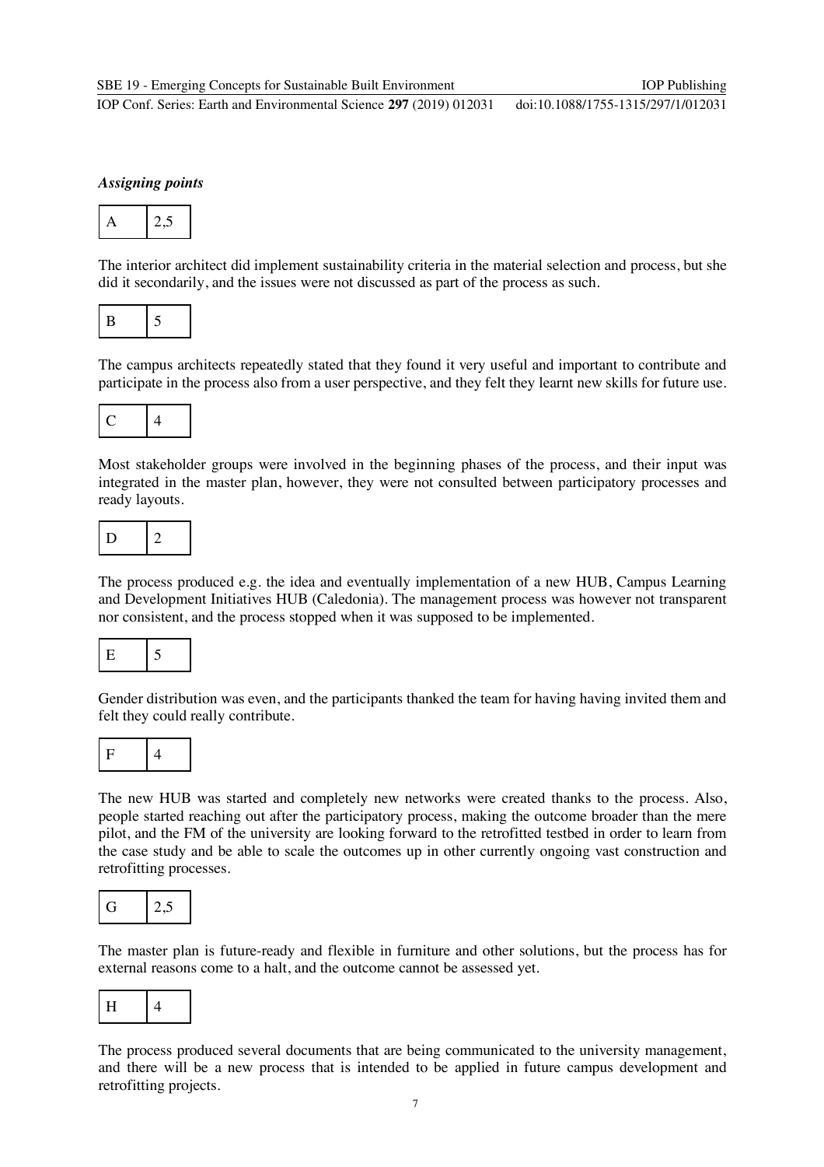IOP Publishing

# *Assigning points*



The interior architect did implement sustainability criteria in the material selection and process, but she did it secondarily, and the issues were not discussed as part of the process as such.



The campus architects repeatedly stated that they found it very useful and important to contribute and participate in the process also from a user perspective, and they felt they learnt new skills for future use.



Most stakeholder groups were involved in the beginning phases of the process, and their input was integrated in the master plan, however, they were not consulted between participatory processes and ready layouts.



The process produced e.g. the idea and eventually implementation of a new HUB, Campus Learning and Development Initiatives HUB (Caledonia). The management process was however not transparent nor consistent, and the process stopped when it was supposed to be implemented.



Gender distribution was even, and the participants thanked the team for having having invited them and felt they could really contribute.



The new HUB was started and completely new networks were created thanks to the process. Also, people started reaching out after the participatory process, making the outcome broader than the mere pilot, and the FM of the university are looking forward to the retrofitted testbed in order to learn from the case study and be able to scale the outcomes up in other currently ongoing vast construction and retrofitting processes.



The master plan is future-ready and flexible in furniture and other solutions, but the process has for external reasons come to a halt, and the outcome cannot be assessed yet.



The process produced several documents that are being communicated to the university management, and there will be a new process that is intended to be applied in future campus development and retrofitting projects.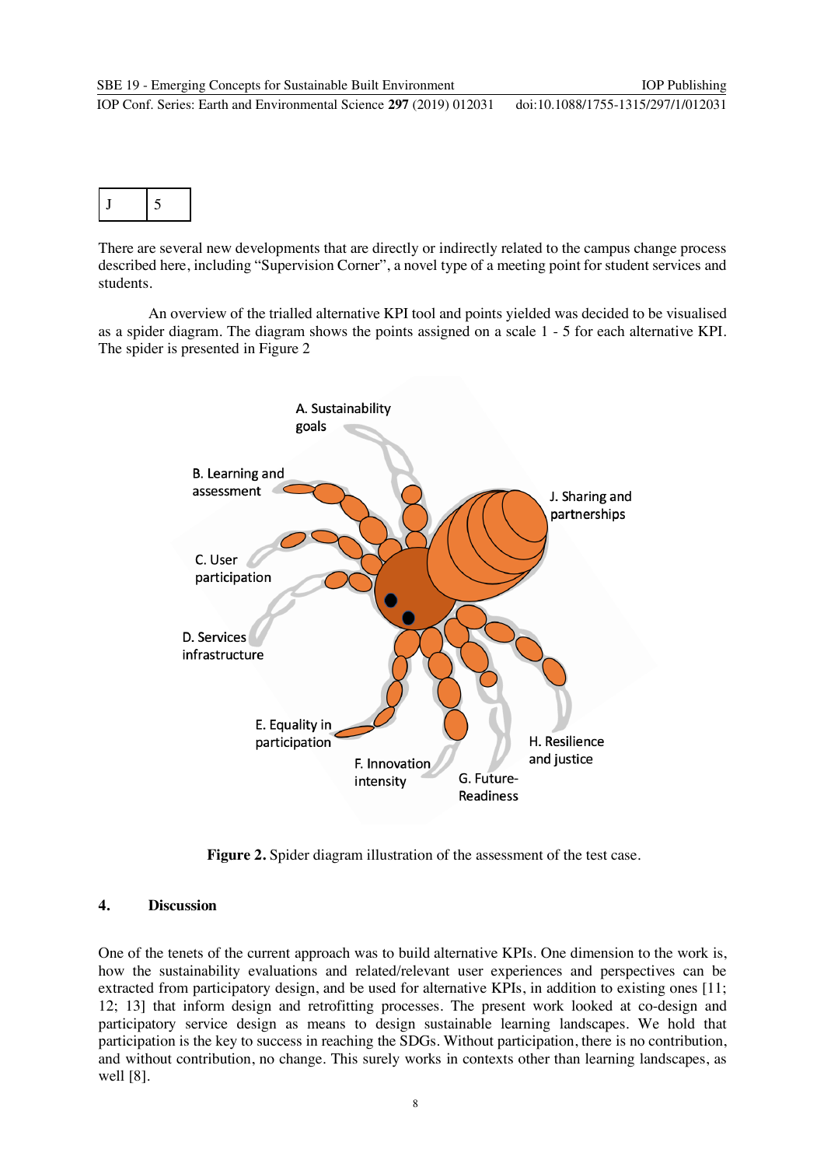

There are several new developments that are directly or indirectly related to the campus change process described here, including "Supervision Corner", a novel type of a meeting point for student services and students.

An overview of the trialled alternative KPI tool and points yielded was decided to be visualised as a spider diagram. The diagram shows the points assigned on a scale 1 - 5 for each alternative KPI. The spider is presented in Figure 2



**Figure 2.** Spider diagram illustration of the assessment of the test case.

# **4. Discussion**

One of the tenets of the current approach was to build alternative KPIs. One dimension to the work is, how the sustainability evaluations and related/relevant user experiences and perspectives can be extracted from participatory design, and be used for alternative KPIs, in addition to existing ones [11; 12; 13] that inform design and retrofitting processes. The present work looked at co-design and participatory service design as means to design sustainable learning landscapes. We hold that participation is the key to success in reaching the SDGs. Without participation, there is no contribution, and without contribution, no change. This surely works in contexts other than learning landscapes, as well [8].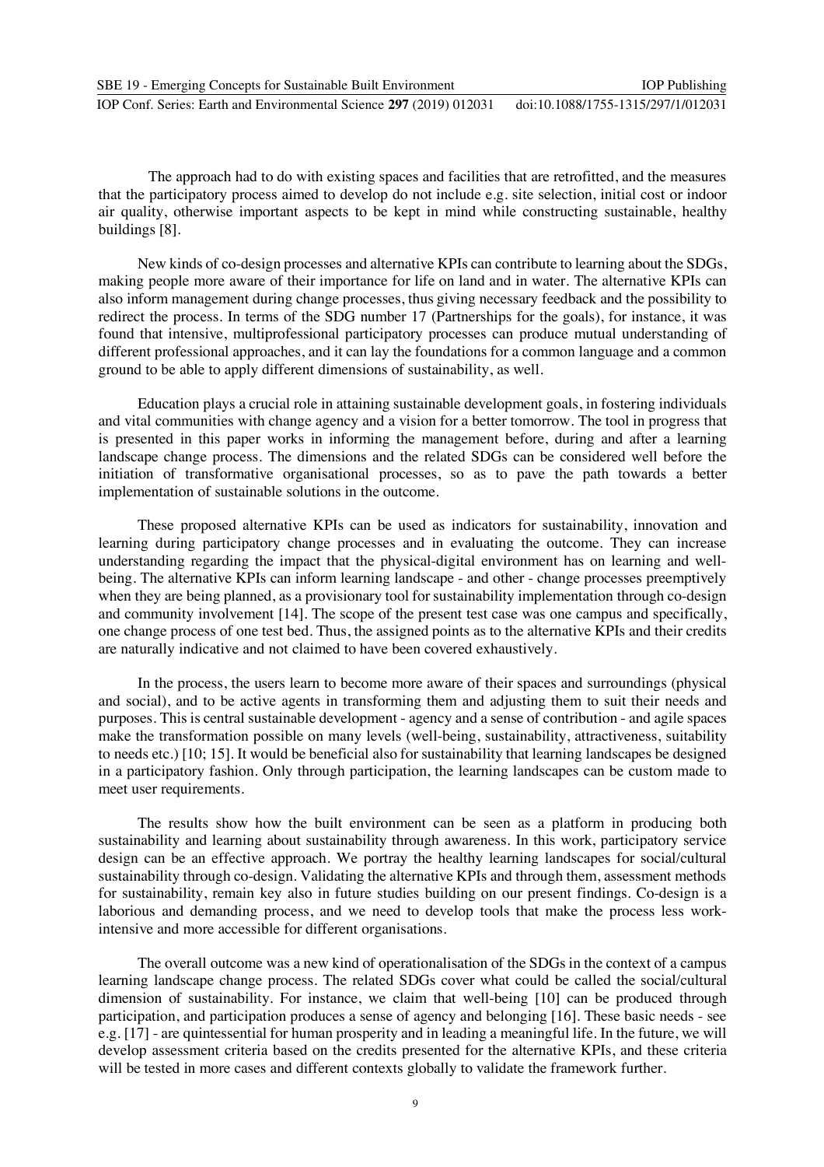The approach had to do with existing spaces and facilities that are retrofitted, and the measures that the participatory process aimed to develop do not include e.g. site selection, initial cost or indoor air quality, otherwise important aspects to be kept in mind while constructing sustainable, healthy buildings [8].

New kinds of co-design processes and alternative KPIs can contribute to learning about the SDGs, making people more aware of their importance for life on land and in water. The alternative KPIs can also inform management during change processes, thus giving necessary feedback and the possibility to redirect the process. In terms of the SDG number 17 (Partnerships for the goals), for instance, it was found that intensive, multiprofessional participatory processes can produce mutual understanding of different professional approaches, and it can lay the foundations for a common language and a common ground to be able to apply different dimensions of sustainability, as well.

Education plays a crucial role in attaining sustainable development goals, in fostering individuals and vital communities with change agency and a vision for a better tomorrow. The tool in progress that is presented in this paper works in informing the management before, during and after a learning landscape change process. The dimensions and the related SDGs can be considered well before the initiation of transformative organisational processes, so as to pave the path towards a better implementation of sustainable solutions in the outcome.

These proposed alternative KPIs can be used as indicators for sustainability, innovation and learning during participatory change processes and in evaluating the outcome. They can increase understanding regarding the impact that the physical-digital environment has on learning and wellbeing. The alternative KPIs can inform learning landscape - and other - change processes preemptively when they are being planned, as a provisionary tool for sustainability implementation through co-design and community involvement [14]. The scope of the present test case was one campus and specifically, one change process of one test bed. Thus, the assigned points as to the alternative KPIs and their credits are naturally indicative and not claimed to have been covered exhaustively.

In the process, the users learn to become more aware of their spaces and surroundings (physical and social), and to be active agents in transforming them and adjusting them to suit their needs and purposes. This is central sustainable development - agency and a sense of contribution - and agile spaces make the transformation possible on many levels (well-being, sustainability, attractiveness, suitability to needs etc.) [10; 15]. It would be beneficial also for sustainability that learning landscapes be designed in a participatory fashion. Only through participation, the learning landscapes can be custom made to meet user requirements.

The results show how the built environment can be seen as a platform in producing both sustainability and learning about sustainability through awareness. In this work, participatory service design can be an effective approach. We portray the healthy learning landscapes for social/cultural sustainability through co-design. Validating the alternative KPIs and through them, assessment methods for sustainability, remain key also in future studies building on our present findings. Co-design is a laborious and demanding process, and we need to develop tools that make the process less workintensive and more accessible for different organisations.

The overall outcome was a new kind of operationalisation of the SDGs in the context of a campus learning landscape change process. The related SDGs cover what could be called the social/cultural dimension of sustainability. For instance, we claim that well-being [10] can be produced through participation, and participation produces a sense of agency and belonging [16]. These basic needs - see e.g. [17] - are quintessential for human prosperity and in leading a meaningful life. In the future, we will develop assessment criteria based on the credits presented for the alternative KPIs, and these criteria will be tested in more cases and different contexts globally to validate the framework further.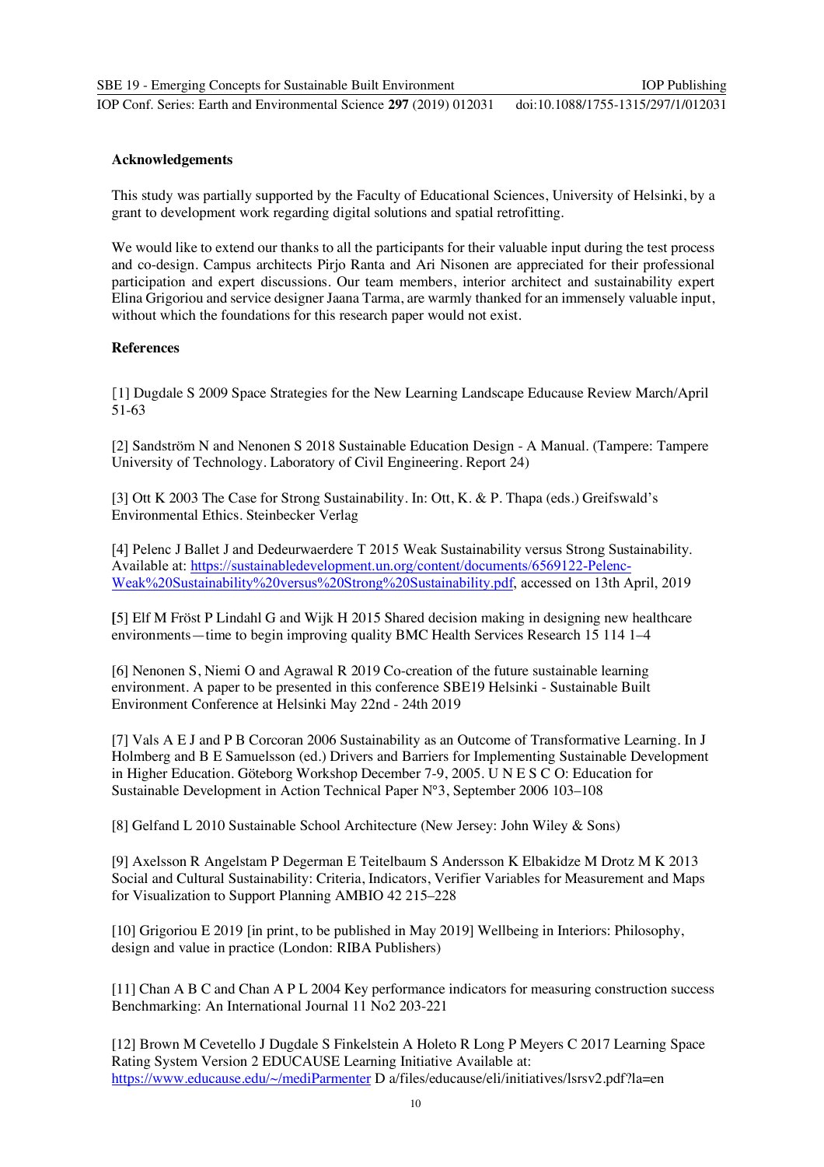## **Acknowledgements**

This study was partially supported by the Faculty of Educational Sciences, University of Helsinki, by a grant to development work regarding digital solutions and spatial retrofitting.

We would like to extend our thanks to all the participants for their valuable input during the test process and co-design. Campus architects Pirjo Ranta and Ari Nisonen are appreciated for their professional participation and expert discussions. Our team members, interior architect and sustainability expert Elina Grigoriou and service designer Jaana Tarma, are warmly thanked for an immensely valuable input, without which the foundations for this research paper would not exist.

#### **References**

[1] Dugdale S 2009 Space Strategies for the New Learning Landscape Educause Review March/April 51-63

[2] Sandström N and Nenonen S 2018 Sustainable Education Design - A Manual. (Tampere: Tampere University of Technology. Laboratory of Civil Engineering. Report 24)

[3] Ott K 2003 The Case for Strong Sustainability. In: Ott, K. & P. Thapa (eds.) Greifswald's Environmental Ethics. Steinbecker Verlag

[4] Pelenc J Ballet J and Dedeurwaerdere T 2015 Weak Sustainability versus Strong Sustainability. Available at: https://sustainabledevelopment.un.org/content/documents/6569122-Pelenc-Weak%20Sustainability%20versus%20Strong%20Sustainability.pdf, accessed on 13th April, 2019

**[**5] Elf M Fröst P Lindahl G and Wijk H 2015 Shared decision making in designing new healthcare environments—time to begin improving quality BMC Health Services Research 15 114 1–4

[6] Nenonen S, Niemi O and Agrawal R 2019 Co-creation of the future sustainable learning environment. A paper to be presented in this conference SBE19 Helsinki - Sustainable Built Environment Conference at Helsinki May 22nd - 24th 2019

[7] Vals A E J and P B Corcoran 2006 Sustainability as an Outcome of Transformative Learning. In J Holmberg and B E Samuelsson (ed.) Drivers and Barriers for Implementing Sustainable Development in Higher Education. Göteborg Workshop December 7-9, 2005. U N E S C O: Education for Sustainable Development in Action Technical Paper N°3, September 2006 103–108

[8] Gelfand L 2010 Sustainable School Architecture (New Jersey: John Wiley & Sons)

[9] Axelsson R Angelstam P Degerman E Teitelbaum S Andersson K Elbakidze M Drotz M K 2013 Social and Cultural Sustainability: Criteria, Indicators, Verifier Variables for Measurement and Maps for Visualization to Support Planning AMBIO 42 215–228

[10] Grigoriou E 2019 [in print, to be published in May 2019] Wellbeing in Interiors: Philosophy, design and value in practice (London: RIBA Publishers)

[11] Chan A B C and Chan A P L 2004 Key performance indicators for measuring construction success Benchmarking: An International Journal 11 No2 203-221

[12] Brown M Cevetello J Dugdale S Finkelstein A Holeto R Long P Meyers C 2017 Learning Space Rating System Version 2 EDUCAUSE Learning Initiative Available at: https://www.educause.edu/~/mediParmenter D a/files/educause/eli/initiatives/lsrsv2.pdf?la=en